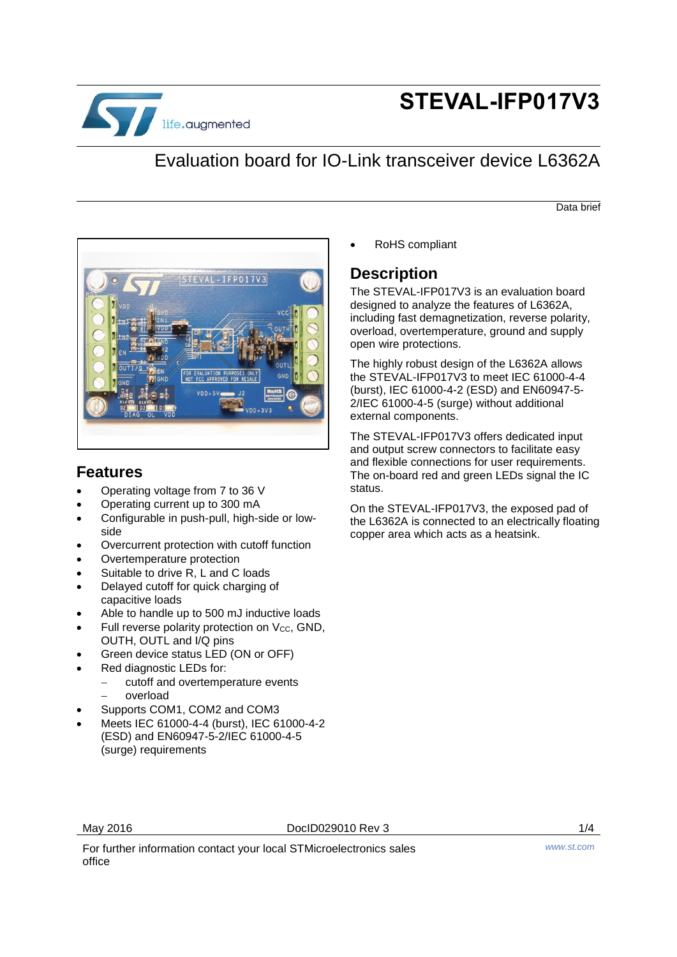

# **STEVAL-IFP017V3**

## Evaluation board for IO-Link transceiver device L6362A

Data brief



### **Features**

- Operating voltage from 7 to 36 V
- Operating current up to 300 mA
- Configurable in push-pull, high-side or lowside
- Overcurrent protection with cutoff function
- Overtemperature protection
- Suitable to drive R, L and C loads
- Delayed cutoff for quick charging of capacitive loads
- Able to handle up to 500 mJ inductive loads
- Full reverse polarity protection on Vcc, GND, OUTH, OUTL and I/Q pins
- Green device status LED (ON or OFF)
- Red diagnostic LEDs for:
	- cutoff and overtemperature events
	- overload
- Supports COM1, COM2 and COM3
- Meets IEC 61000-4-4 (burst), IEC 61000-4-2 (ESD) and EN60947-5-2/IEC 61000-4-5 (surge) requirements

RoHS compliant

#### **Description**

The STEVAL-IFP017V3 is an evaluation board designed to analyze the features of L6362A, including fast demagnetization, reverse polarity, overload, overtemperature, ground and supply open wire protections.

The highly robust design of the L6362A allows the STEVAL-IFP017V3 to meet IEC 61000-4-4 (burst), IEC 61000-4-2 (ESD) and EN60947-5- 2/IEC 61000-4-5 (surge) without additional external components.

The STEVAL-IFP017V3 offers dedicated input and output screw connectors to facilitate easy and flexible connections for user requirements. The on-board red and green LEDs signal the IC status.

On the STEVAL-IFP017V3, the exposed pad of the L6362A is connected to an electrically floating copper area which acts as a heatsink.

May 2016 **DoclD029010** Rev 3 **1/4** 

For further information contact your local STMicroelectronics sales office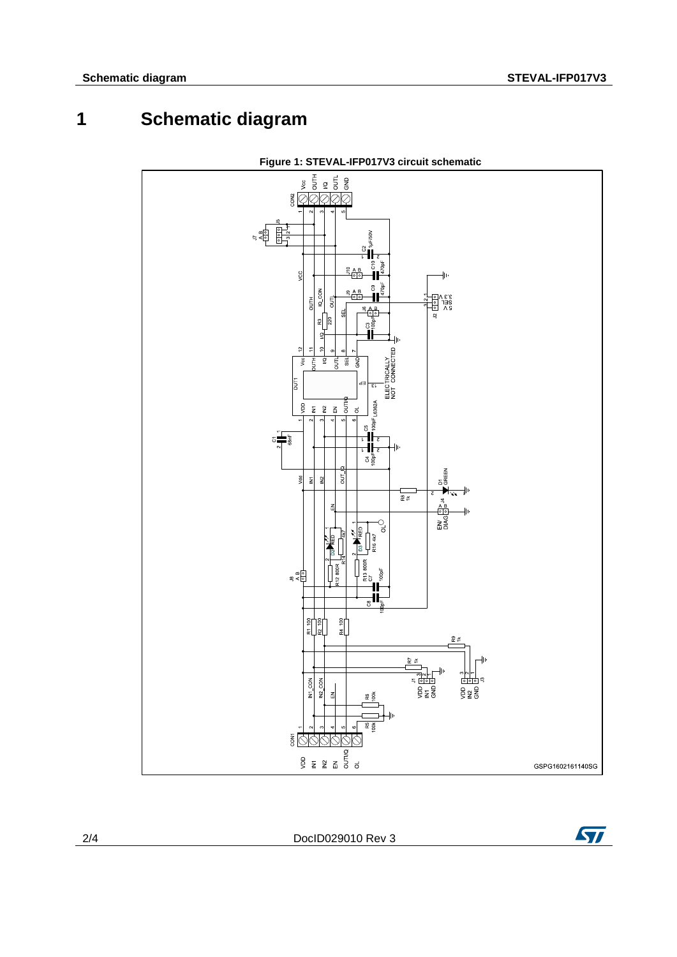## **1 Schematic diagram**



**Figure 1: STEVAL-IFP017V3 circuit schematic**

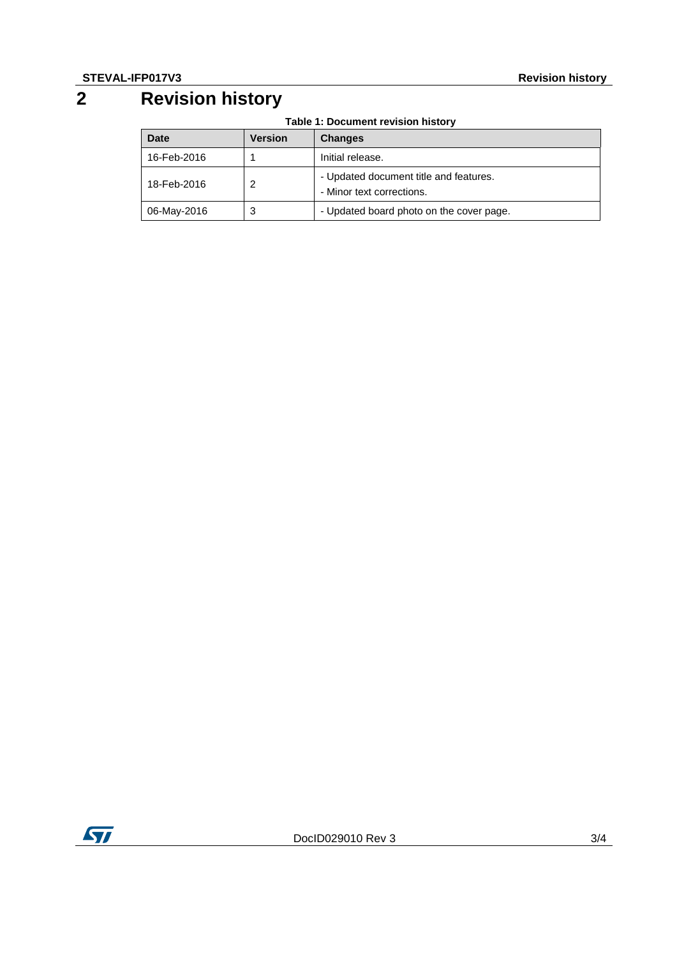## **2 Revision history**

**Table 1: Document revision history**

| Date        | <b>Version</b> | <b>Changes</b>                                                      |
|-------------|----------------|---------------------------------------------------------------------|
| 16-Feb-2016 |                | Initial release.                                                    |
| 18-Feb-2016 | 2              | - Updated document title and features.<br>- Minor text corrections. |
| 06-May-2016 | 3              | - Updated board photo on the cover page.                            |